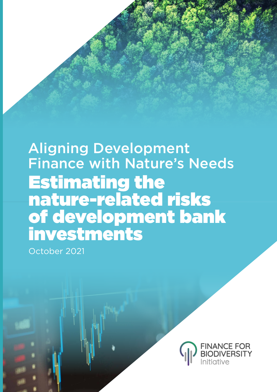## Aligning Development Finance with Nature's Needs Estimating the nature-related risks of development bank investments

October 2021

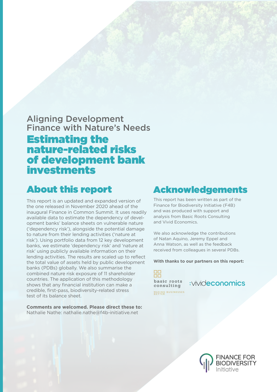### Aligning Development Finance with Nature's Needs Estimating the nature-related risks of development bank investments

### About this report

This report is an updated and expanded version of the one released in November 2020 ahead of the inaugural Finance in Common Summit. It uses readily available data to estimate the dependency of development banks' balance sheets on vulnerable nature ('dependency risk'), alongside the potential damage to nature from their lending activities ('nature at risk'). Using portfolio data from 12 key development banks, we estimate 'dependency risk' and 'nature at risk' using publicly available information on their lending activities. The results are scaled up to reflect the total value of assets held by public development banks (PDBs) globally. We also summarise the combined nature risk exposure of 11 shareholder countries. The application of this methodology shows that any financial institution can make a credible, first-pass, biodiversity-related stress test of its balance sheet.

**Comments are welcomed. Please direct these to:** Nathalie Nathe: nathalie.nathe@f4b-initiative.net

### Acknowledgements

This report has been written as part of the Finance for Biodiversity Initiative (F4B) and was produced with support and analysis from Basic Roots Consulting and Vivid Economics.

We also acknowledge the contributions of Natan Aquino, Jeremy Eppel and Anna Watson, as well as the feedback received from colleagues in several PDBs.

**With thanks to our partners on this report:** 

 $\Box$ ōδ basic roots consulting MAKING BUSINESSES

:vivideconomics

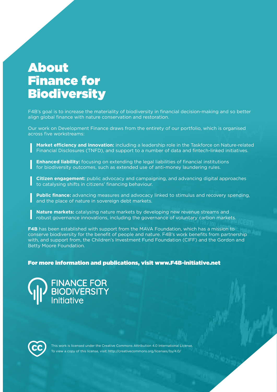### About Finance for **Biodiversity**

F4B's goal is to increase the materiality of biodiversity in financial decision-making and so better align global finance with nature conservation and restoration.

Our work on Development Finance draws from the entirety of our portfolio, which is organised across five workstreams:

**Market efficiency and innovation:** including a leadership role in the Taskforce on Nature-related Financial Disclosures (TNFD), and support to a number of data and fintech-linked initiatives.

**Enhanced liability:** focusing on extending the legal liabilities of financial institutions for biodiversity outcomes, such as extended use of anti-money laundering rules.

**Citizen engagement:** public advocacy and campaigning, and advancing digital approaches to catalysing shifts in citizens' financing behaviour.

**Public finance:** advancing measures and advocacy linked to stimulus and recovery spending, and the place of nature in sovereign debt markets.

**Nature markets:** catalysing nature markets by developing new revenue streams and robust governance innovations, including the governance of voluntary carbon markets.

**F4B** has been established with support from the MAVA Foundation, which has a mission to conserve biodiversity for the benefit of people and nature. F4B's work benefits from partnership with, and support from, the Children's Investment Fund Foundation (CIFF) and the Gordon and Betty Moore Foundation.

### For more information and publications, visit www.F4B-initiative.net

**FINANCE FOR<br>BIODIVERSITY**<br>Initiative



This work is licensed under the Creative Commons Attribution 4.0 International License. To view a copy of this license, visit: http://creativecommons.org/licenses/by/4.0/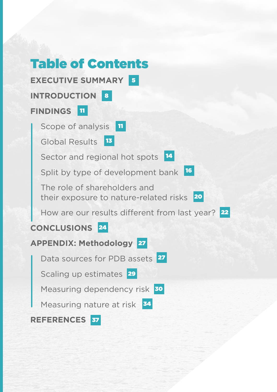## Table of Contents **EXECUTIVE SUMMARY** 5 **INTRODUCTION** 8 **FINDINGS** 11 Scope of analysis Global Results<sup>13</sup> Sector and regional hot spots <sup>14</sup> Split by type of development bank <sup>16</sup> The role of shareholders and their exposure to nature-related risks 20 How are our results different from last year? 22 **CONCLUSIONS** 24 **APPENDIX: Methodology** 27 Data sources for PDB assets 27 Scaling up estimates 29 Measuring dependency risk 30 Measuring nature at risk 34 **REFERENCES** 37| 11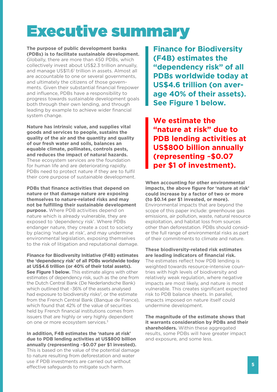## Executive summary

**The purpose of public development banks (PDBs) is to facilitate sustainable development.** Globally, there are more than 450 PDBs, which collectively invest about US\$2.3 trillion annually, and manage US\$11.6<sup>1</sup> trillion in assets. Almost all are accountable to one or several governments, and ultimately the citizens of those governments. Given their substantial financial firepower and influence, PDBs have a responsibility to progress towards sustainable development goals both through their own lending, and through leading by example to achieve wider financial system change.

**Nature has intrinsic value, and supplies vital goods and services to people, sustains the quality of the air and the quantity and quality of our fresh water and soils, balances an equable climate, pollinates, controls pests, and reduces the impact of natural hazards.** These ecosystem services are the foundation for human life and are deteriorating rapidly. PDBs need to protect nature if they are to fulfil their core purpose of sustainable development.

**PDBs that finance activities that depend on nature or that damage nature are exposing themselves to nature-related risks and may not be fulfilling their sustainable development purpose.** Where PDB activities depend on nature which is already vulnerable, they are exposed to 'dependency risk'. Where PDBs endanger nature, they create a cost to society by placing 'nature at risk', and may undermine environmental legislation, exposing themselves to the risk of litigation and reputational damage.

**Finance for Biodiversity Initiative (F4B) estimates the 'dependency risk' of all PDBs worldwide today at US\$4.6 trillion (or 40% of their total assets). See Figure 1 below.** This estimate aligns with other estimates of dependency risk, such as the one from the Dutch Central Bank (De Nederlandsche Bank) which outlined that ~36% of the assets analysed had exposure to biodiversity risks<sup>2</sup>, or the estimate from the French Central Bank (Banque de France), which found that 42% of the value of securities held by French financial institutions comes from issuers that are highly or very highly dependent on one or more ecosystem services.<sup>3</sup>

**In addition, F4B estimates the 'nature at risk' due to PDB lending activities at US\$800 billion annually (representing ~\$0.07 per \$1 invested).** This is based on the value of the potential damage to nature resulting from deforestation and water use if PDB investments are carried out without effective safeguards to mitigate such harm.

**Finance for Biodiversity (F4B) estimates the "dependency risk" of all PDBs worldwide today at US\$4.6 trillion (on average 40% of their assets). See Figure 1 below.** 

**We estimate the "nature at risk" due to PDB lending activities at US\$800 billion annually (representing ~\$0.07 per \$1 of investment).**

**When accounting for other environmental impacts, the above figure for 'nature at risk' could increase by a factor of two or more (to \$0.14 per \$1 invested, or more).** Environmental impacts that are beyond the scope of this paper include: greenhouse gas emissions, air pollution, waste, natural resource exploitation, and habitat loss from sources other than deforestation. PDBs should consider the full range of environmental risks as part of their commitments to climate and nature.

**These biodiversity-related risk estimates are leading indicators of financial risk.** The estimates reflect how PDB lending is weighted towards resource-intensive countries with high levels of biodiversity and relatively weak regulation, where negative impacts are most likely, and nature is most vulnerable. This creates significant expected risk to PDB balance sheets. In parallel, impacts imposed on nature itself could undermine development.

**The magnitude of the estimate shows that it warrants consideration by PDBs and their shareholders.** Within these aggregated results, some PDBs will have greater impact and exposure, and some less.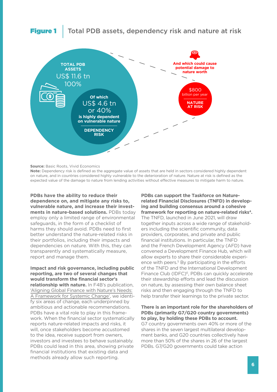### Figure 1 | Total PDB assets, dependency risk and nature at risk



**Source: Basic Roots, Vivid Economics** 

**Note:** Dependency risk is defined as the aggregate value of assets that are held in sectors considered highly dependent on nature, and in countries considered highly vulnerable to the deterioration of nature. Nature at risk is defined as the expected value of the damage to nature from lending activities without effective measures to mitigate harm to nature.

**PDBs have the ability to reduce their dependence on, and mitigate any risks to, vulnerable nature, and increase their investments in nature-based solutions.** PDBs today employ only a limited range of environmental safeguards, in the form of a checklist of harms they should avoid. PDBs need to first better understand the nature-related risks in their portfolios, including their impacts and dependencies on nature. With this, they can transparently and systematically measure, report and manage them.

**Impact and risk governance, including public reporting, are two of several changes that would transform the financial sector's relationship with nature.** In F4B's publication, ['Aligning Global Finance with Nature's Needs:](https://a1be08a4-d8fb-4c22-9e4a-2b2f4cb7e41d.filesusr.com/ugd/643e85_d6b4337d77f94cc9aa662656dc7018d3.pdf)  [A Framework for Systemic Change'](https://a1be08a4-d8fb-4c22-9e4a-2b2f4cb7e41d.filesusr.com/ugd/643e85_d6b4337d77f94cc9aa662656dc7018d3.pdf), we identify six areas of change, each underpinned by ambitious and actionable recommendations. PDBs have a vital role to play in this framework. When the financial sector systematically reports nature-related impacts and risks, it will, once stakeholders become accustomed to the idea, receive support from owners, investors and investees to behave sustainably. PDBs could lead in this area, showing private financial institutions that existing data and methods already allow such reporting.

**PDBs can support the Taskforce on Naturerelated Financial Disclosures (TNFD) in developing and building consensus around a cohesive framework for reporting on nature-related risks4.** The TNFD, launched in June 2021, will draw together inputs across a wide range of stakeholders including the scientific community, data providers, corporates, and private and public financial institutions. In particular, the TNFD and the French Development Agency (AFD) have convened a Development Finance Hub, which will allow experts to share their considerable experience with peers.<sup>5</sup> By participating in the efforts of the TNFD and the International Development Finance Club (IDFC)<sup>6</sup>, PDBs can quickly accelerate their stewardship efforts and lead the discussion on nature, by assessing their own balance sheet risks and then engaging through the TNFD to help transfer their learnings to the private sector.

**There is an important role for the shareholders of PDBs (primarily G7/G20 country governments) to play, by holding these PDBs to account.** G7 country governments own 40% or more of the shares in the seven largest multilateral development banks, and G20 countries collectively have more than 50% of the shares in 26 of the largest PDBs. G7/G20 governments could take action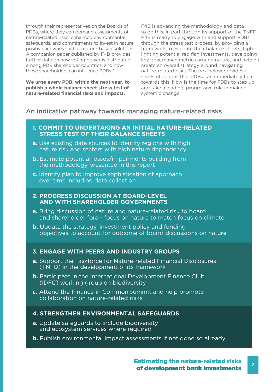through their representatives on the Boards of PDBs, where they can demand assessments of nature-related risks, enhanced environmental safeguards, and commitments to invest in nature positive activities such as nature-based solutions. A companion paper published by F4B provides further data on how voting power is distributed among PDB shareholder countries, and how these shareholders can influence PDBs.7

**We urge every PDB, within the next year, to publish a whole balance sheet stress test of nature-related financial risks and impacts.**

F4B is advancing the methodology and data to do this, in part through its support of the TNFD. F4B is ready to engage with and support PDBs through the stress test process, by providing a framework to evaluate their balance sheets, highlighting potential red flag investments, developing key governance metrics around nature, and helping create an overall strategy around navigating nature-related risks. The box below provides a series of actions that PDBs can immediately take towards this. Now is the time for PDBs to step up and take a leading, progressive role in making systemic change.

### An indicative pathway towards managing nature-related risks

- **1. COMMIT TO UNDERTAKING AN INITIAL NATURE-RELATED STRESS TEST OF THEIR BALANCE SHEETS**
- **a.** Use existing data sources to identify regions with high nature risk and sectors with high nature dependency
- **b.** Estimate potential losses/impairments building from the methodology presented in this report
- **c.** Identify plan to improve sophistication of approach over time including data collection

### **2. PROGRESS DISCUSSION AT BOARD-LEVEL AND WITH SHAREHOLDER GOVERNMENTS**

- **a.** Bring discussion of nature and nature-related risk to board and shareholder fora - focus on nature to match focus on climate
- **b.** Update the strategy, investment policy and funding objectives to account for outcome of board discussions on nature

### **3. ENGAGE WITH PEERS AND INDUSTRY GROUPS**

- **a.** Support the Taskforce for Nature-related Financial Disclosures (TNFD) in the development of its framework
- **b.** Participate in the International Development Finance Club (IDFC) working group on biodiversity
- **c.** Attend the Finance in Common summit and help promote collaboration on nature-related risks

### **4. STRENGTHEN ENVIRONMENTAL SAFEGUARDS**

- **a.** Update safeguards to include biodiversity and ecosystem services where required
- **b.** Publish environmental impact assessments if not done so already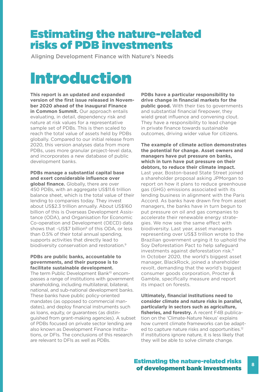### Estimating the nature-related risks of PDB investments

Aligning Development Finance with Nature's Needs

## Introduction

**This report is an updated and expanded version of the first issue released in November 2020 ahead of the inaugural Finance in Common Summit.** Our approach entails evaluating, in detail, dependency risk and nature at risk values for a representative sample set of PDBs. This is then scaled to reach the total value of assets held by PDBs globally. Compared to our initial release from 2020, this version analyses data from more PDBs, uses more granular project-level data, and incorporates a new database of public development banks.

**PDBs manage a substantial capital base and exert considerable influence over global finance.** Globally, there are over 450 PDBs, with an aggregate US\$11.6 trillion balance sheet, which is the total value of their lending to companies today. They invest about US\$2.3 trillion annually. About US\$160 billion of this is Overseas Development Assistance (ODA), and Organisation for Economic Co-operation and Development (OECD) data shows that ~US\$7 billion<sup>8</sup> of this ODA, or less than 0.5% of their total annual spending, supports activities that directly lead to biodiversity conservation and restoration.<sup>9</sup>

#### **PDBs are public banks, accountable to governments, and their purpose is to facilitate sustainable development.**

The term Public Development Bank<sup>10</sup> encompasses a range of institutions with government shareholding, including multilateral, bilateral, national, and sub-national development banks. These banks have public policy-oriented mandates (as opposed to commercial mandates), and deploy financial instruments such as loans, equity, or guarantees (as distinguished from grant-making agencies). A subset of PDBs focused on private sector lending are also known as Development Finance Institutions, or DFIs. The conclusions of this research are relevant to DFIs as well as PDBs.

**PDBs have a particular responsibility to drive change in financial markets for the public good.** With their ties to governments and substantial financial firepower, they wield great influence and convening clout. They have a responsibility to lead change in private finance towards sustainable outcomes, driving wider value for citizens.

**The example of climate action demonstrates the potential for change. Asset owners and managers have put pressure on banks, which in turn have put pressure on their debtors, to reduce their climate impact.** Last year, Boston-based State Street joined a shareholder proposal asking JPMorgan to report on how it plans to reduce greenhouse gas (GHG) emissions associated with its lending business in alignment with the Paris Accord. As banks have drawn fire from asset managers, the banks have in turn begun to put pressure on oil and gas companies to accelerate their renewable energy strategies. We now see the same effect with biodiversity. Last year, asset managers representing over US\$3 trillion wrote to the Brazilian government urging it to uphold the Soy Deforestation Pact to help safeguard investments against deforestation risk.<sup>11</sup> In October 2020, the world's biggest asset manager, BlackRock, joined a shareholder revolt, demanding that the world's biggest consumer goods corporation, Procter & Gamble, specifically measure and report its impact on forests.

**Ultimately, financial institutions need to consider climate and nature risks in parallel, particularly in sectors such as agriculture, fisheries, and forestry.** A recent F4B publication on the 'Climate-Nature Nexus' explains how current climate frameworks can be adapted to capture nature risks and opportunities.<sup>12</sup> If institutions ignore nature, it is less likely that they will be able to solve climate change.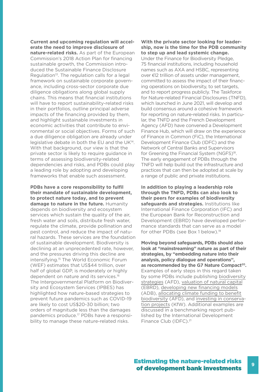**Current and upcoming regulation will accelerate the need to improve disclosure of nature-related risks.** As part of the European Commission's 2018 Action Plan for financing sustainable growth, the Commission introduced the Sustainable Finance Disclosure Regulation<sup>13</sup>. The regulation calls for a legal framework on sustainable corporate governance, including cross-sector corporate due diligence obligations along global supply chains. This means that financial institutions will have to report sustainability-related risks in their portfolios, outline principal adverse impacts of the financing provided by them, and highlight sustainable investments in economic activities that contribute to environmental or social objectives. Forms of such a due diligence obligation are already under legislative debate in both the EU and the UK14. With that background, our view is that the private sector is likely to require guidance in terms of assessing biodiversity-related dependencies and risks, and PDBs could play a leading role by adopting and developing frameworks that enable such assessment.

**PDBs have a core responsibility to fulfil their mandate of sustainable development, to protect nature today, and to prevent damage to nature in the future.** Humanity depends on biodiversity and ecosystem services which sustain the quality of the air, fresh water and soils, distribute fresh water, regulate the climate, provide pollination and pest control, and reduce the impact of natural hazards. These services are the foundation of sustainable development. Biodiversity is declining at an unprecedented rate, however, and the pressures driving this decline are intensifying.15 The World Economic Forum (WEF) estimates that US\$44 trillion, over half of global GDP, is moderately or highly dependent on nature and its services.<sup>16</sup> The Intergovernmental Platform on Biodiversity and Ecosystem Services (IPBES) has highlighted how nature-based strategies to prevent future pandemics such as COVID-19 are likely to cost US\$20-30 billion; two orders of magnitude less than the damages pandemics produce.17 PDBs have a responsibility to manage these nature-related risks.

#### **With the private sector looking for leadership, now is the time for the PDB community to step up and lead systemic change.**

Under the Finance for Biodiversity Pledge, 75 financial institutions, including household names such as AXA and HSBC, representing over €12 trillion of assets under management, committed to assess the impact of their financing operations on biodiversity, to set targets, and to report progress publicly. The Taskforce for Nature-related Financial Disclosures (TNFD), which launched in June 2021, will develop and build consensus around a cohesive framework for reporting on nature-related risks. In particular, the TNFD and the French Development Agency (AFD) have convened a Development Finance Hub, which will draw on the experience of Finance in Common (FiC), the International Development Finance Club (IDFC) and the Network of Central Banks and Supervisors for Greening the Financial System (NGFS)<sup>18</sup>. The early engagement of PDBs through the TNFD will help build out the infrastructure and practices that can then be adopted at scale by a range of public and private institutions.

**In addition to playing a leadership role through the TNFD, PDBs can also look to their peers for examples of biodiversity safeguards and strategies.** Institutions like International Finance Corporation (IFC) and the European Bank for Reconstruction and Development (EBRD) have developed performance standards that can serve as a model for other PDBs (see Box 1 below).<sup>19</sup>

**Moving beyond safeguards, PDBs should also look at "mainstreaming" nature as part of their strategies, by "embedding nature into their analysis, policy dialogue and operations",** as recommended by the G7 Nature Compact<sup>20</sup>. Examples of early steps in this regard taken by some PDBs include publishing [biodiversity](https://www.afd.fr/en/ressources/biodiversity-2020-activity-report)  [strategies](https://www.afd.fr/en/ressources/biodiversity-2020-activity-report) (AFD), [valuation of natural capital](https://www.ebrd.com/work-with-us/projects/tcpsd/14876.html)  (EBRD), [developing new financing models](https://www.iadb.org/en/environment/natural-capital-lab)  (ADB), [allocating climate funding to benefit](https://www.afd.fr/en/actualites/communique-de-presse/one-planet-summit-afd-undertakes-allocate-least-30-its-climate-funding-biodiversity)  [biodiversity](https://www.afd.fr/en/actualites/communique-de-presse/one-planet-summit-afd-undertakes-allocate-least-30-its-climate-funding-biodiversity) (AFD), and [investing in conserva](https://www.kfw-entwicklungsbank.de/International-financing/KfW-Development-Bank/Topics/Biodiversity/)[tion projects](https://www.kfw-entwicklungsbank.de/International-financing/KfW-Development-Bank/Topics/Biodiversity/) (KfW). Additional examples are discussed in a benchmarking report published by the International Development Finance Club (IDFC).21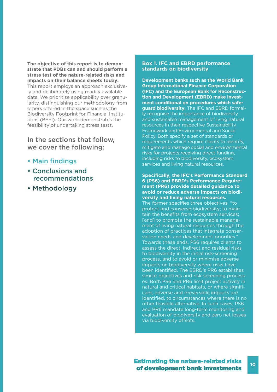**The objective of this report is to demonstrate that PDBs can and should perform a stress test of the nature-related risks and impacts on their balance sheets today.** This report employs an approach exclusively and deliberately using readily available data. We prioritise applicability over granularity, distinguishing our methodology from others offered in the space such as the Biodiversity Footprint for Financial Institutions (BFFI). Our work demonstrates the feasibility of undertaking stress tests.

In the sections that follow, we cover the following:

- Main findings
- Conclusions and recommendations
- Methodology

#### **Box 1. IFC and EBRD performance standards on biodiversity**

**Development banks such as the World Bank Group International Finance Corporation (IFC) and the European Bank for Reconstruction and Development (EBRD) make investment conditional on procedures which safeguard biodiversity.** The IFC and EBRD formally recognise the importance of biodiversity and sustainable management of living natural resources in their respective Sustainability Framework and Environmental and Social Policy. Both specify a set of standards or requirements which require clients to identify, mitigate and manage social and environmental risks for projects receiving direct funding, including risks to biodiversity, ecosystem services and living natural resources.

**Specifically, the IFC's Performance Standard 6 (PS6) and EBRD's Performance Requirement (PR6) provide detailed guidance to avoid or reduce adverse impacts on biodiversity and living natural resources.** The former specifies three objectives: "to protect and conserve biodiversity; to maintain the benefits from ecosystem services; [and] to promote the sustainable management of living natural resources through the adoption of practices that integrate conservation needs and development priorities." Towards these ends, PS6 requires clients to assess the direct, indirect and residual risks to biodiversity in the initial risk-screening process, and to avoid or minimise adverse impacts on biodiversity where risks have been identified. The EBRD's PR6 establishes similar objectives and risk-screening processes. Both PS6 and PR6 limit project activity in natural and critical habitats, or where significant, adverse and irreversible impacts are identified, to circumstances where there is no other feasible alternative. In such cases, PS6 and PR6 mandate long-term monitoring and evaluation of biodiversity and zero net losses via biodiversity offsets.

**10**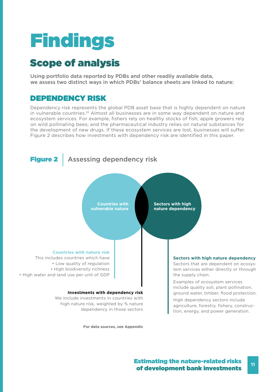# Findings

### Scope of analysis

Using portfolio data reported by PDBs and other readily available data, we assess two distinct ways in which PDBs' balance sheets are linked to nature:

### DEPENDENCY RISK

Dependency risk represents the global PDB asset base that is highly dependent on nature in vulnerable countries.<sup>22</sup> Almost all businesses are in some way dependent on nature and ecosystem services. For example, fishers rely on healthy stocks of fish; apple growers rely on wild pollinating bees; and the pharmaceutical industry relies on natural substances for the development of new drugs. If these ecosystem services are lost, businesses will suffer. Figure 2 describes how investments with dependency risk are identified in this paper.



**For data sources, see Appendix**

### Estimating the nature-related risks of development bank investments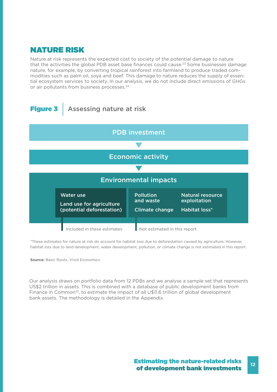### NATURE RISK

Nature at risk represents the expected cost to society of the potential damage to nature that the activities the global PDB asset base finances could cause.<sup>23</sup> Some businesses damage nature, for example, by converting tropical rainforest into farmland to produce traded commodities such as palm oil, soya and beef. This damage to nature reduces the supply of essential ecosystem services to society. In our analysis, we do not include direct emissions of GHGs or air pollutants from business processes.<sup>24</sup>



\*These estimates for nature at risk do account for habitat loss due to deforestation caused by agriculture. However, habitat loss due to land development, water development, pollution, or climate change is not estimated in this report.

**Source:** Basic Roots, Vivid Economics

Our analysis draws on portfolio data from 12 PDBs and we analyse a sample set that represents US\$2 trillion in assets. This is combined with a database of public development banks from Finance in Common<sup>32</sup>, to estimate the impact of all U\$11.6 trillion of global development bank assets. The methodology is detailed in the Appendix.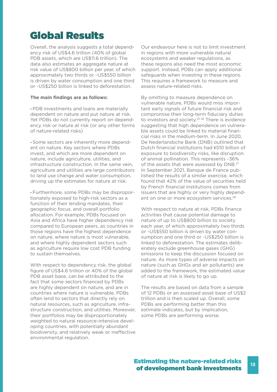### Global Results

Overall, the analysis suggests a total dependency risk of US\$4.6 trillion (40% of global PDB assets, which are US\$11.6 trillion). The data also estimates an aggregate nature at risk value of US\$800 billion per year, of which approximately two thirds or ~US\$550 billion is driven by water consumption and one third or ~US\$250 billion is linked to deforestation.

### **The main findings are as follows:**

• PDB investments and loans are materially dependent on nature and put nature at risk. Yet PDBs do not currently report on dependency risk or nature at risk (or any other forms of nature-related risks)

• Some sectors are inherently more dependent on nature. Key sectors where PDBs invest, and which are more dependent on nature, include agriculture, utilities, and infrastructure construction. In the same vein, agriculture and utilities are large contributors to land use change and water consumption, driving up the estimates for nature at risk.

• Furthermore, some PDBs may be disproportionately exposed to high-risk sectors as a function of their lending mandates, their geographic focus, and overall portfolio allocation. For example, PDBs focused on Asia and Africa have higher dependency risk compared to European peers, as countries in those regions have the highest dependence on nature, where nature is most vulnerable, and where highly dependent sectors such as agriculture require low cost PDB funding to sustain themselves.

With respect to dependency risk, the global figure of US\$4.6 trillion or 40% of the global PDB asset base, can be attributed to the fact that some sectors financed by PDBs are highly dependent on nature, and are in countries where nature is vulnerable. PDBs often lend to sectors that directly rely on natural resources, such as agriculture, infrastructure construction, and utilities. Moreover, their portfolios may be disproportionately weighted to natural resource-intensive developing countries, with potentially abundant biodiversity, and relatively weak or ineffective environmental regulation.

Our endeavour here is not to limit investment in regions with more vulnerable natural ecosystems and weaker regulations, as these regions also need the most economic support. Instead, PDBs can apply additional safeguards when investing in these regions. This requires a framework to measure and assess nature-related risks.

By omitting to measure dependence on vulnerable nature, PDBs would miss important early signals of future financial risk and compromise their long-term fiduciary duties to investors and society.<sup>25 26</sup> There is evidence suggesting that high dependence on vulnerable assets could be linked to material financial risks in the medium-term. In June 2020, De Nederlandsche Bank (DNB) outlined that Dutch financial institutions had €510 billion of exposure to biodiversity risks, like disruption of animal pollination. This represents ~36% of the assets that were assessed by DNB.<sup>27</sup> In September 2021, Banque de France published the results of a similar exercise, which found that 42% of the value of securities held by French financial institutions comes from issuers that are highly or very highly dependent on one or more ecosystem services.<sup>28</sup>

With respect to nature at risk, PDBs finance activities that cause potential damage to nature of up to US\$800 billion to society each year, of which approximately two thirds or ~US\$550 billion is driven by water consumption and one third or ~US\$250 billion is linked to deforestation. The estimates deliberately exclude greenhouse gases (GHG) emissions to keep the discussion focused on nature. As more types of adverse impacts on nature (such as GHGs and air pollutants) are added to the framework, the estimated value of nature at risk is likely to go up.

The results are based on data from a sample of 12 PDBs or an assessed asset base of US\$2 trillion and is then scaled up. Overall, some PDBs are performing better than this estimate indicates, but by implication, some PDBs are performing worse.

### Estimating the nature-related risks of development bank investments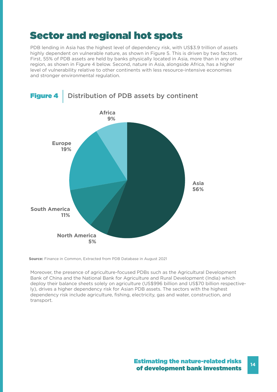### Sector and regional hot spots

PDB lending in Asia has the highest level of dependency risk, with US\$3.9 trillion of assets highly dependent on vulnerable nature, as shown in Figure 5. This is driven by two factors. First, 55% of PDB assets are held by banks physically located in Asia, more than in any other region, as shown in Figure 4 below. Second, nature in Asia, alongside Africa, has a higher level of vulnerability relative to other continents with less resource-intensive economies and stronger environmental regulation.



**Source:** Finance in Common, Extracted from PDB Database in August 2021

Moreover, the presence of agriculture-focused PDBs such as the Agricultural Development Bank of China and the National Bank for Agriculture and Rural Development (India) which deploy their balance sheets solely on agriculture (US\$996 billion and US\$70 billion respectively), drives a higher dependency risk for Asian PDB assets. The sectors with the highest dependency risk include agriculture, fishing, electricity, gas and water, construction, and transport.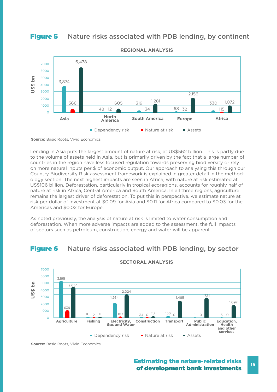### **Figure 5** Nature risks associated with PDB lending, by continent



**REGIONAL ANALYSIS**

**Source:** Basic Roots, Vivid Economics

Lending in Asia puts the largest amount of nature at risk, at US\$562 billion. This is partly due to the volume of assets held in Asia, but is primarily driven by the fact that a large number of countries in the region have less focused regulation towards preserving biodiversity or rely on more natural inputs per \$ of economic output. Our approach to analysing this through our Country Biodiversity Risk assessment framework is explained in greater detail in the methodology section. The next highest impacts are seen in Africa, with nature at risk estimated at US\$106 billion. Deforestation, particularly in tropical ecoregions, accounts for roughly half of nature at risk in Africa, Central America and South America. In all three regions, agriculture remains the largest driver of deforestation. To put this in perspective, we estimate nature at risk per dollar of investment at \$0.09 for Asia and \$0.11 for Africa compared to \$0.03 for the Americas and \$0.02 for Europe.

As noted previously, the analysis of nature at risk is limited to water consumption and deforestation. When more adverse impacts are added to the assessment, the full impacts of sectors such as petroleum, construction, energy and water will be apparent.





#### **SECTORAL ANALYSIS**

**Source:** Basic Roots, Vivid Economics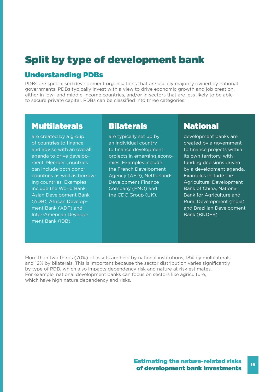### Split by type of development bank

### Understanding PDBs

PDBs are specialised development organisations that are usually majority owned by national governments. PDBs typically invest with a view to drive economic growth and job creation, either in low- and middle-income countries, and/or in sectors that are less likely to be able to secure private capital. PDBs can be classified into three categories:

### Multilaterals Bilaterals National

are created by a group of countries to finance and advise with an overall agenda to drive development. Member countries can include both donor countries as well as borrowing countries. Examples include the World Bank, Asian Development Bank (ADB), African Development Bank (ADF) and Inter-American Development Bank (IDB).

are typically set up by an individual country to finance development projects in emerging economies. Examples include the French Development Agency (AFD), Netherlands Development Finance Company (FMO) and the CDC Group (UK).

development banks are created by a government to finance projects within its own territory, with funding decisions driven by a development agenda. Examples include the Agricultural Development Bank of China, National Bank for Agriculture and Rural Development (India) and Brazilian Development Bank (BNDES).

More than two thirds (70%) of assets are held by national institutions, 18% by multilaterals and 12% by bilaterals. This is important because the sector distribution varies significantly by type of PDB, which also impacts dependency risk and nature at risk estimates. For example, national development banks can focus on sectors like agriculture, which have high nature dependency and risks.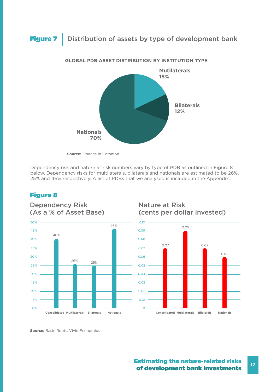### Figure 7 | Distribution of assets by type of development bank



### **GLOBAL PDB ASSET DISTRIBUTION BY INSTITUTION TYPE**

**Source:** Finance in Common

Dependency risk and nature at risk numbers vary by type of PDB as outlined in Figure 8 below. Dependency risks for multilaterals, bilaterals and nationals are estimated to be 26%, 25% and 46% respectively. A list of PDBs that we analysed is included in the Appendix.

### Figure 8



### Dependency Risk (As a % of Asset Base)

### Nature at Risk (cents per dollar invested)



**Source:** Basic Roots, Vivid Economics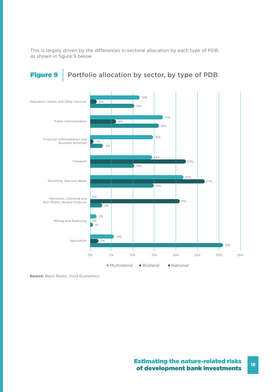This is largely driven by the differences in sectoral allocation by each type of PDB, as shown in figure 9 below.

### Figure 9 | Portfolio allocation by sector, by type of PDB



**Source:** Basic Roots, Vivid Economics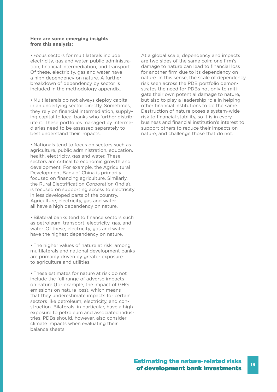#### **Here are some emerging insights from this analysis:**

• Focus sectors for multilaterals include electricity, gas and water, public administration, financial intermediation, and transport. Of these, electricity, gas and water have a high dependency on nature. A further breakdown of dependency by sector is included in the methodology appendix.

• Multilaterals do not always deploy capital in an underlying sector directly. Sometimes, they rely on financial intermediation, supplying capital to local banks who further distribute it. These portfolios managed by intermediaries need to be assessed separately to best understand their impacts.

• Nationals tend to focus on sectors such as agriculture, public administration, education, health, electricity, gas and water. These sectors are critical to economic growth and development. For example, the Agricultural Development Bank of China is primarily focused on financing agriculture. Similarly, the Rural Electrification Corporation (India), is focused on supporting access to electricity in less developed parts of the country. Agriculture, electricity, gas and water all have a high dependency on nature.

• Bilateral banks tend to finance sectors such as petroleum, transport, electricity, gas, and water. Of these, electricity, gas and water have the highest dependency on nature.

• The higher values of nature at risk among multilaterals and national development banks are primarily driven by greater exposure to agriculture and utilities.

• These estimates for nature at risk do not include the full range of adverse impacts on nature (for example, the impact of GHG emissions on nature loss), which means that they underestimate impacts for certain sectors like petroleum, electricity, and construction. Bilaterals, in particular, have a high exposure to petroleum and associated industries. PDBs should, however, also consider climate impacts when evaluating their balance sheets.

At a global scale, dependency and impacts are two sides of the same coin: one firm's damage to nature can lead to financial loss for another firm due to its dependency on nature. In this sense, the scale of dependency risk seen across the PDB portfolio demonstrates the need for PDBs not only to mitigate their own potential damage to nature, but also to play a leadership role in helping other financial institutions to do the same. Destruction of nature poses a system-wide risk to financial stability, so it is in every business and financial institution's interest to support others to reduce their impacts on nature, and challenge those that do not.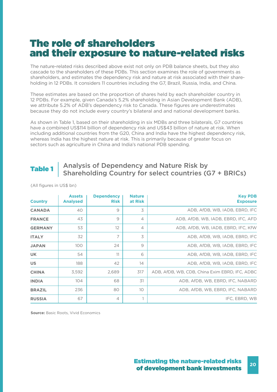### The role of shareholders and their exposure to nature-related risks

The nature-related risks described above exist not only on PDB balance sheets, but they also cascade to the shareholders of these PDBs. This section examines the role of governments as shareholders, and estimates the dependency risk and nature at risk associated with their shareholding in 12 PDBs. It considers 11 countries including the G7, Brazil, Russia, India, and China.

These estimates are based on the proportion of shares held by each shareholder country in 12 PDBs. For example, given Canada's 5.2% shareholding in Asian Development Bank (ADB), we attribute 5.2% of ADB's dependency risk to Canada. These figures are underestimates because they do not include every country's bilateral and and national development banks.

As shown in Table 1, based on their shareholding in six MDBs and three bilaterals, G7 countries have a combined US\$114 billion of dependency risk and US\$43 billion of nature at risk. When including additional countries from the G20, China and India have the highest dependency risk, whereas India has the highest nature at risk. This is primarily because of greater focus on sectors such as agriculture in China and India's national PDB spending.

### Table 1 | Analysis of Dependency and Nature Risk by Shareholding Country for select countries (G7 + BRICs)

| <b>Country</b> | <b>Assets</b><br><b>Analysed</b> | <b>Dependency</b><br><b>Risk</b> | <b>Nature</b><br>at Risk | <b>Key PDB</b><br><b>Exposure</b>              |  |
|----------------|----------------------------------|----------------------------------|--------------------------|------------------------------------------------|--|
| <b>CANADA</b>  | 40                               | 9                                | 3                        | ADB, AfDB, WB, IADB, EBRD, IFC                 |  |
| <b>FRANCE</b>  | 43                               | 9                                | $\overline{4}$           | ADB, AfDB, WB, IADB, EBRD, IFC, AFD            |  |
| <b>GERMANY</b> | 53                               | 12                               | $\overline{4}$           | ADB, AfDB, WB, IADB, EBRD, IFC, KfW            |  |
| <b>ITALY</b>   | 32                               | 7                                | 3                        | ADB, AfDB, WB, IADB, EBRD, IFC                 |  |
| <b>JAPAN</b>   | 100                              | 24                               | $\Theta$                 | ADB, AfDB, WB, IADB, EBRD, IFC                 |  |
| <b>UK</b>      | 54                               | 11                               | 6                        | ADB, AfDB, WB, IADB, EBRD, IFC                 |  |
| <b>US</b>      | 188                              | 42                               | 14                       | ADB, AfDB, WB, IADB, EBRD, IFC                 |  |
| <b>CHINA</b>   | 3.592                            | 2,689                            | 317                      | ADB, AfDB, WB, CDB, China Exim EBRD, IFC, ADBC |  |
| <b>INDIA</b>   | 104                              | 68                               | 31                       | ADB, AfDB, WB, EBRD, IFC, NABARD               |  |
| <b>BRAZIL</b>  | 236                              | 80                               | 10 <sup>°</sup>          | ADB, AfDB, WB, EBRD, IFC, NABARD               |  |
| <b>RUSSIA</b>  | 67                               | $\overline{4}$                   |                          | IFC, EBRD, WB                                  |  |

(All figures in US\$ bn)

**Source:** Basic Roots, Vivid Economics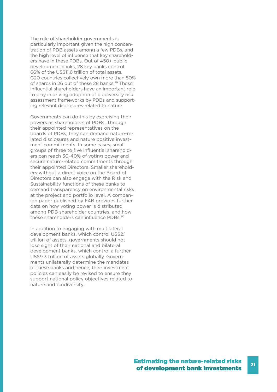The role of shareholder governments is particularly important given the high concentration of PDB assets among a few PDBs, and the high level of influence that key shareholders have in these PDBs. Out of 450+ public development banks, 28 key banks control 66% of the US\$11.6 trillion of total assets. G20 countries collectively own more than 50% of shares in 26 out of these 28 banks.<sup>29</sup> These influential shareholders have an important role to play in driving adoption of biodiversity risk assessment frameworks by PDBs and supporting relevant disclosures related to nature.

Governments can do this by exercising their powers as shareholders of PDBs. Through their appointed representatives on the boards of PDBs, they can demand nature-related disclosures and nature positive investment commitments. In some cases, small groups of three to five influential shareholders can reach 30-40% of voting power and secure nature-related commitments through their appointed Directors. Smaller shareholders without a direct voice on the Board of Directors can also engage with the Risk and Sustainability functions of these banks to demand transparency on environmental risks at the project and portfolio level. A companion paper published by F4B provides further data on how voting power is distributed among PDB shareholder countries, and how these shareholders can influence PDBs.<sup>30</sup>

In addition to engaging with multilateral development banks, which control US\$2.1 trillion of assets, governments should not lose sight of their national and bilateral development banks, which control a further US\$9.3 trillion of assets globally. Governments unilaterally determine the mandates of these banks and hence, their investment policies can easily be revised to ensure they support national policy objectives related to nature and biodiversity.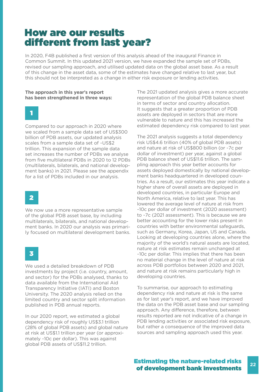### How are our results different from last year?

In 2020, F4B published a first version of this analysis ahead of the inaugural Finance in Common Summit. In this updated 2021 version, we have expanded the sample set of PDBs, revised our sampling approach, and utilised updated data on the global asset base. As a result of this change in the asset data, some of the estimates have changed relative to last year, but this should not be interpreted as a change in either risk exposure or lending activities.

#### **The approach in this year's report has been strengthened in three ways:**



Compared to our approach in 2020 where we scaled from a sample data set of US\$300 billion of PDB assets, our updated analysis scales from a sample data set of ~US\$2 trillion. This expansion of the sample data set increases the number of PDBs we analyse from five multilateral PDBs in 2020 to 12 PDBs (multilaterals, bilaterals, and national development banks) in 2021. Please see the appendix for a list of PDBs included in our analysis.



We now use a more representative sample of the global PDB asset base, by including multilaterals, bilaterals, and national development banks. In 2020 our analysis was primarily focused on multilateral development banks.

3

We used a detailed breakdown of PDB investments by project (i.e. country, amount, and sector) for the PDBs analysed, thanks to data available from the International Aid Transparency Initiative (IATI) and Boston University. The 2020 analysis relied on the limited country and sector split information published in PDB annual reports.

In our 2020 report, we estimated a global dependency risk of roughly US\$3.1 trillion (28% of global PDB assets) and global nature at risk at US\$1.1 trillion per year (or approximately ~10c per dollar). This was against global PDB assets of US\$11.2 trillion.

The 2021 updated analysis gives a more accurate representation of the global PDB balance sheet in terms of sector and country allocation. It suggests that a greater proportion of PDB assets are deployed in sectors that are more vulnerable to nature and this has increased the estimated dependency risk compared to last year.

The 2021 analysis suggests a total dependency risk US\$4.6 trillion (40% of global PDB assets) and nature at risk of US\$800 billion (or ~7c per dollar of investment) per year, against a global PDB balance sheet of US\$11.6 trillion. The sampling approach this year better accounts for assets deployed domestically by national development banks headquartered in developed countries. As a result, our estimates this year indicate a higher share of overall assets are deployed in developed countries, in particular Europe and North America, relative to last year. This has lowered the average level of nature at risk from ~10c per dollar of investment (2020 assessment) to ~7c (2021 assessment). This is because we are better accounting for the lower risks present in countries with better environmental safeguards, such as Germany, Korea, Japan, US and Canada. Looking at developing countries alone, where the majority of the world's natural assets are located, nature at risk estimates remain unchanged at ~10c per dollar. This implies that there has been no material change in the level of nature at risk across PDB portfolios between 2020 and 2021, and nature at risk remains particularly high in developing countries.

To summarise, our approach to estimating dependency risk and nature at risk is the same as for last year's report, and we have improved the data on the PDB asset base and our sampling approach. Any difference, therefore, between results reported are not indicative of a change in PDB lending activities or associated risk exposure, but rather a consequence of the improved data sources and sampling approach used this year.

### Estimating the nature-related risks of development bank investments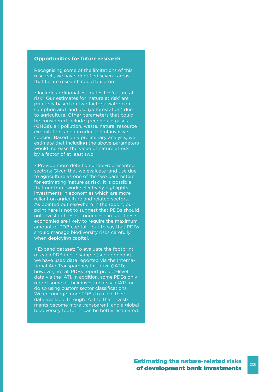### **Opportunities for future research**

Recognising some of the limitations of this research, we have identified several areas that future research could build on:

• Include additional estimates for 'nature at risk': Our estimates for 'nature at risk' are primarily based on two factors: water consumption and land use (deforestation) due to agriculture. Other parameters that could be considered include greenhouse gases (GHGs), air pollution, waste, natural resource exploitation, and introduction of invasive species. Based on a preliminary analysis, we estimate that including the above parameters would increase the value of nature at risk by a factor of at least two.

• Provide more detail on under-represented sectors: Given that we evaluate land use due to agriculture as one of the two parameters for estimating 'nature at risk', it is possible that our framework selectively highlights investments in economies which are more reliant on agriculture and related sectors. As pointed out elsewhere in the report, our point here is not to suggest that PDBs should not invest in these economies – in fact these economies are likely to require the maximum amount of PDB capital – but to say that PDBs should manage biodiversity risks carefully when deploying capital.

• Expand dataset: To evaluate the footprint of each PDB in our sample (see appendix), we have used data reported via the International Aid Transparency Initiative (IATI); however, not all PDBs report project-level data via the IATI. In addition, some PDBs only report some of their investments via IATI, or do so using custom sector classifications. We encourage more PDBs to make their data available through IATI so that investments become more transparent, and a global biodiversity footprint can be better estimated.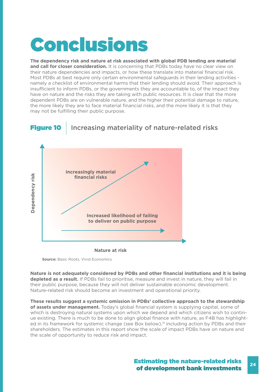# Conclusions

**The dependency risk and nature at risk associated with global PDB lending are material and call for closer consideration.** It is concerning that PDBs today have no clear view on their nature dependencies and impacts, or how these translate into material financial risk. Most PDBs at best require only certain environmental safeguards in their lending activities namely a checklist of environmental harms that their lending should avoid. Their approach is insufficient to inform PDBs, or the governments they are accountable to, of the impact they have on nature and the risks they are taking with public resources. It is clear that the more dependent PDBs are on vulnerable nature, and the higher their potential damage to nature, the more likely they are to face material financial risks, and the more likely it is that they may not be fulfilling their public purpose.



**Nature at risk**

**Source:** Basic Roots, Vivid Economics

**Nature is not adequately considered by PDBs and other financial institutions and it is being depleted as a result.** If PDBs fail to prioritise, measure and invest in nature, they will fail in their public purpose, because they will not deliver sustainable economic development. Nature-related risk should become an investment and operational priority.

**These results suggest a systemic omission in PDBs' collective approach to the stewardship of assets under management.** Today's global financial system is supplying capital, some of which is destroying natural systems upon which we depend and which citizens wish to continue existing. There is much to be done to align global finance with nature, as F4B has highlighted in its framework for systemic change (see Box below).<sup>31</sup> including action by PDBs and their shareholders. The estimates in this report show the scale of impact PDBs have on nature and the scale of opportunity to reduce risk and impact.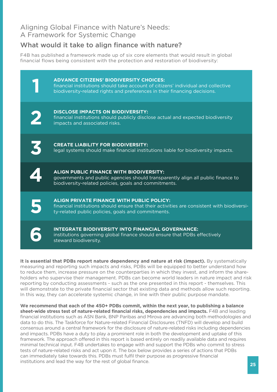### Aligning Global Finance with Nature's Needs: A Framework for Systemic Change

### What would it take to align finance with nature?

F4B has published a framework made up of six core elements that would result in global financial flows being consistent with the protection and restoration of biodiversity:

|                      | <b>ADVANCE CITIZENS' BIODIVERSITY CHOICES:</b><br>financial institutions should take account of citizens' individual and collective<br>biodiversity-related rights and preferences in their financing decisions. |
|----------------------|------------------------------------------------------------------------------------------------------------------------------------------------------------------------------------------------------------------|
|                      | <b>DISCLOSE IMPACTS ON BIODIVERSITY:</b><br>financial institutions should publicly disclose actual and expected biodiversity<br>impacts and associated risks.                                                    |
| $\tilde{\mathbf{K}}$ | <b>CREATE LIABILITY FOR BIODIVERSITY:</b><br>legal systems should make financial institutions liable for biodiversity impacts.                                                                                   |
|                      | <b>ALIGN PUBLIC FINANCE WITH BIODIVERSITY:</b><br>governments and public agencies should transparently align all public finance to                                                                               |
|                      | biodiversity-related policies, goals and commitments.                                                                                                                                                            |
|                      | <b>ALIGN PRIVATE FINANCE WITH PUBLIC POLICY:</b><br>financial institutions should ensure that their activities are consistent with biodiversi-<br>ty-related public policies, goals and commitments.             |

**It is essential that PDBs report nature dependency and nature at risk (impact).** By systematically measuring and reporting such impacts and risks, PDBs will be equipped to better understand how to reduce them, increase pressure on the counterparties in which they invest, and inform the shareholders who supervise their management. PDBs can become world leaders in nature impact and risk reporting by conducting assessments - such as the one presented in this report - themselves. This will demonstrate to the private financial sector that existing data and methods allow such reporting. In this way, they can accelerate systemic change, in line with their public purpose mandate.

**We recommend that each of the 450+ PDBs commit, within the next year, to publishing a balance sheet-wide stress test of nature-related financial risks, dependencies and impacts.** F4B and leading financial institutions such as ASN Bank, BNP Paribas and Mirova are advancing both methodologies and data to do this. The Taskforce for Nature-related Financial Disclosures (TNFD) will develop and build consensus around a central framework for the disclosure of nature-related risks including dependencies and impacts. PDBs have a duty to play a prominent role in both the development and uptake of this framework. The approach offered in this report is based entirely on readily available data and requires minimal technical input. F4B undertakes to engage with and support the PDBs who commit to stress tests of nature-related risks and act upon it. The box below provides a series of actions that PDBs can immediately take towards this. PDBs must fulfil their purpose as progressive financial institutions and lead the way for the rest of global finance.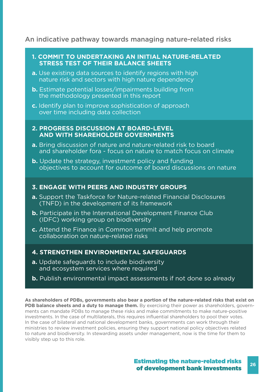### An indicative pathway towards managing nature-related risks

### **1. COMMIT TO UNDERTAKING AN INITIAL NATURE-RELATED STRESS TEST OF THEIR BALANCE SHEETS**

- **a.** Use existing data sources to identify regions with high nature risk and sectors with high nature dependency
- **b.** Estimate potential losses/impairments building from the methodology presented in this report
- **c.** Identify plan to improve sophistication of approach over time including data collection

### **2. PROGRESS DISCUSSION AT BOARD-LEVEL AND WITH SHAREHOLDER GOVERNMENTS**

- **a.** Bring discussion of nature and nature-related risk to board and shareholder fora - focus on nature to match focus on climate
- **b.** Update the strategy, investment policy and funding objectives to account for outcome of board discussions on nature

### **3. ENGAGE WITH PEERS AND INDUSTRY GROUPS**

- **a.** Support the Taskforce for Nature-related Financial Disclosures (TNFD) in the development of its framework
- **b.** Participate in the International Development Finance Club (IDFC) working group on biodiversity
- **c.** Attend the Finance in Common summit and help promote collaboration on nature-related risks

### **4. STRENGTHEN ENVIRONMENTAL SAFEGUARDS**

- **a.** Update safeguards to include biodiversity and ecosystem services where required
- **b.** Publish environmental impact assessments if not done so already

**As shareholders of PDBs, governments also bear a portion of the nature-related risks that exist on PDB balance sheets and a duty to manage them.** By exercising their power as shareholders, governments can mandate PDBs to manage these risks and make commitments to make nature-positive investments. In the case of multilaterals, this requires influential shareholders to pool their votes. In the case of bilateral and national development banks, governments can work through their ministries to review investment policies, ensuring they support national policy objectives related to nature and biodiversity. In stewarding assets under management, now is the time for them to visibly step up to this role.

#### **26** Estimating the nature-related risks of development bank investments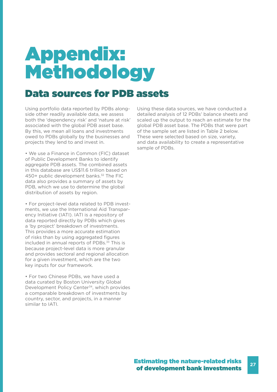## Appendix: Methodology

### Data sources for PDB assets

Using portfolio data reported by PDBs alongside other readily available data, we assess both the 'dependency risk' and 'nature at risk' associated with the global PDB asset base. By this, we mean all loans and investments owed to PDBs globally by the businesses and projects they lend to and invest in.

• We use a Finance in Common (FIC) dataset of Public Development Banks to identify aggregate PDB assets. The combined assets in this database are US\$11.6 trillion based on 450+ public development banks.<sup>32</sup> The FIC data also provides a summary of assets by PDB, which we use to determine the global distribution of assets by region.

• For project-level data related to PDB investments, we use the International Aid Transparency Initiative (IATI). IATI is a repository of data reported directly by PDBs which gives a 'by project' breakdown of investments. This provides a more accurate estimation of risks than by using aggregated figures included in annual reports of PDBs.<sup>33</sup> This is because project-level data is more granular and provides sectoral and regional allocation for a given investment, which are the two key inputs for our framework.

• For two Chinese PDBs, we have used a data curated by Boston University Global Development Policy Center<sup>34</sup>, which provides a comparable breakdown of investments by country, sector, and projects, in a manner similar to IATI.

Using these data sources, we have conducted a detailed analysis of 12 PDBs' balance sheets and scaled up the output to reach an estimate for the global PDB asset base. The PDBs that were part of the sample set are listed in Table 2 below. These were selected based on size, variety, and data availability to create a representative sample of PDBs.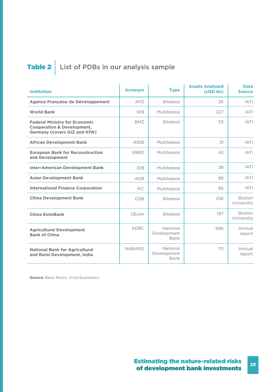## Table 2 List of PDBs in our analysis sample

| <b>Institution</b>                                                                                                   | <b>Acronym</b> | <b>Type</b>                     | <b>Assets Analysed</b><br>(USD bn) | <b>Data</b><br><b>Source</b> |
|----------------------------------------------------------------------------------------------------------------------|----------------|---------------------------------|------------------------------------|------------------------------|
| Agence Française de Développement                                                                                    | <b>AFD</b>     | Bilateral                       | 26                                 | <b>IATI</b>                  |
| <b>World Bank</b>                                                                                                    | <b>WB</b>      | Multilateral                    | 227                                | <b>IATI</b>                  |
| <b>Federal Ministry for Economic</b><br><b>Cooperation &amp; Development,</b><br><b>Germany (covers GIZ and KfW)</b> | <b>BMZ</b>     | <b>Bilateral</b>                | 53                                 | <b>IATI</b>                  |
| <b>African Development Bank</b>                                                                                      | AfDB           | Multilateral                    | 31                                 | <b>IATI</b>                  |
| <b>European Bank for Reconstruction</b><br>and Development                                                           | <b>EBRD</b>    | Multilateral                    | 43                                 | <b>IATI</b>                  |
| <b>Inter-American Development Bank</b>                                                                               | <b>IDB</b>     | Multilateral                    | 38                                 | <b>IATI</b>                  |
| <b>Asian Development Bank</b>                                                                                        | <b>ADB</b>     | Multilateral                    | 88                                 | <b>IATI</b>                  |
| <b>International Finance Corporation</b>                                                                             | <b>IFC</b>     | Multilateral                    | 96                                 | <b>IATI</b>                  |
| <b>China Development Bank</b>                                                                                        | <b>CDB</b>     | Bilateral                       | 258                                | <b>Boston</b><br>University  |
| <b>China EximBank</b>                                                                                                | CExIm          | Bilateral                       | 197                                | <b>Boston</b><br>University  |
| <b>Agricultural Development</b><br><b>Bank of China</b>                                                              | <b>ADBC</b>    | National<br>Development<br>Bank | 996                                | Annual<br>report             |
| <b>National Bank for Agricultural</b><br>and Rural Development, India                                                | <b>NABARD</b>  | National<br>Development<br>Bank | 70                                 | Annual<br>report             |

**Source:** Basic Roots, Vivid Economics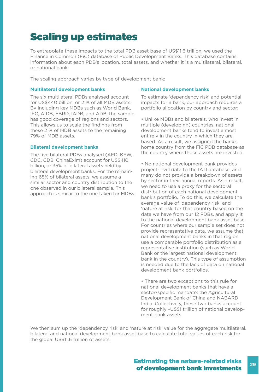### Scaling up estimates

To extrapolate these impacts to the total PDB asset base of US\$11.6 trillion, we used the Finance in Common (FiC) database of Public Development Banks. This database contains information about each PDB's location, total assets, and whether it is a multilateral, bilateral, or national bank.

The scaling approach varies by type of development bank:

### **Multilateral development banks**

The six multilateral PDBs analysed account for US\$440 billion, or 21% of all MDB assets. By including key MDBs such as World Bank, IFC, AfDB, EBRD, IADB, and ADB, the sample has good coverage of regions and sectors. This allows us to scale the findings from these 21% of MDB assets to the remaining 79% of MDB assets.

#### **Bilateral development banks**

The five bilateral PDBs analysed (AFD, KFW, CDC, CDB, ChinaExim) account for US\$410 billion, or 35% of bilateral assets held by bilateral development banks. For the remaining 65% of bilateral assets, we assume a similar sector and country distribution to the one observed in our bilateral sample. This approach is similar to the one taken for MDBs.

#### **National development banks**

To estimate 'dependency risk' and potential impacts for a bank, our approach requires a portfolio allocation by country and sector:

• Unlike MDBs and bilaterals, who invest in multiple (developing) countries, national development banks tend to invest almost entirely in the country in which they are based. As a result, we assigned the bank's home country from the FiC PDB database as the country where those assets are invested.

• No national development bank provides project-level data to the IATI database, and many do not provide a breakdown of assets by sector in their annual reports. As a result, we need to use a proxy for the sectoral distribution of each national development bank's portfolio. To do this, we calculate the average value of 'dependency risk' and 'nature at risk' for that country based on the data we have from our 12 PDBs, and apply it to the national development bank asset base. For countries where our sample set does not provide representative data, we assume that national development banks in that region use a comparable portfolio distribution as a representative institution (such as World Bank or the largest national development bank in the country). This type of assumption is needed due to the lack of data on national development bank portfolios.

• There are two exceptions to this rule for national development banks that have a sector-specific mandate: the Agricultural Development Bank of China and NABARD India. Collectively, these two banks account for roughly ~US\$1 trillion of national development bank assets.

We then sum up the 'dependency risk' and 'nature at risk' value for the aggregate multilateral, bilateral and national development bank asset base to calculate total values of each risk for the global US\$11.6 trillion of assets.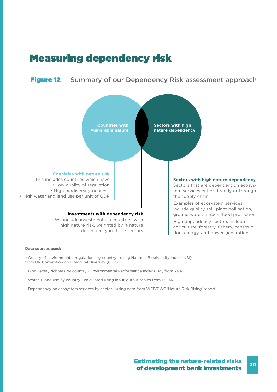### Measuring dependency risk

**Figure 12** Summary of our Dependency Risk assessment approach



#### **Data sources used:**

- Quality of environmental regulations by country using National Biodiversity Index (NBI) from UN Convention on Biological Diversity (CBD)
- Biodiversity richness by country Environmental Performance Index (EPI) from Yale
- Water + land use by country calculated using input/output tables from EORA
- Dependency on ecosystem services by sector using data from WEF/PWC 'Nature Risk Rising' report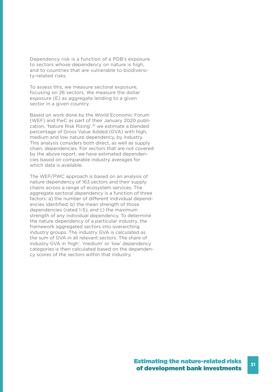Dependency risk is a function of a PDB's exposure to sectors whose dependency on nature is high, and to countries that are vulnerable to biodiversity-related risks.

To assess this, we measure sectoral exposure, focusing on 26 sectors. We measure the dollar exposure (E) as aggregate lending to a given sector in a given country.

Based on work done by the World Economic Forum (WEF) and PwC as part of their January 2020 publication, 'Nature Risk Rising',<sup>35</sup> we estimate a blended percentage of Gross Value Added (GVA) with high, medium and low nature dependency, by industry. This analysis considers both direct, as well as supply chain, dependencies. For sectors that are not covered by the above report, we have estimated dependencies based on comparable industry averages for which data is available.

The WEF/PWC approach is based on an analysis of nature dependency of 163 sectors and their supply chains across a range of ecosystem services. The aggregate sectoral dependency is a function of three factors: a) the number of different individual dependencies identified; b) the mean strength of those dependencies (rated 1-5); and c) the maximum strength of any individual dependency. To determine the nature dependency of a particular industry, the framework aggregated sectors into overarching industry groups. The industry GVA is calculated as the sum of GVA in all relevant sectors. The share of industry GVA in 'high', 'medium' or 'low' dependency categories is then calculated based on the dependency scores of the sectors within that industry.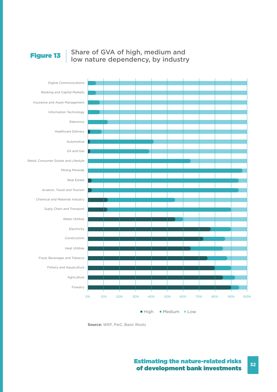## Figure 13 | Share of GVA of high, medium and<br>low nature dependency, by industry





### Estimating the nature-related risks of development bank investments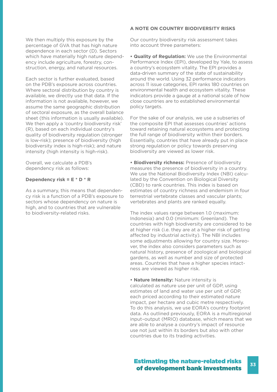We then multiply this exposure by the percentage of GVA that has high nature dependence in each sector (D). Sectors which have materially high nature dependency include agriculture, forestry, construction, energy, and natural resources.

Each sector is further evaluated, based on the PDB's exposure across countries. Where sectoral distribution by country is available, we directly use that data. If the information is not available, however, we assume the same geographic distribution of sectoral exposure, as the overall balance sheet (this information is usually available). We then apply a 'country biodiversity risk' (R), based on each individual country's quality of biodiversity regulation (stronger is low-risk); presence of biodiversity (high biodiversity index is high-risk); and nature intensity (high intensity is high-risk).

Overall, we calculate a PDB's dependency risk as follows:

#### **Dependency risk = E \* D \* R**

As a summary, this means that dependency risk is a function of a PDB's exposure to sectors whose dependency on nature is high, and to countries that are vulnerable to biodiversity-related risks.

#### **A NOTE ON COUNTRY BIODIVERSITY RISKS**

Our country biodiversity risk assessment takes into account three parameters:

**• Quality of Regulation:** We use the Environmental Performance Index (EPI), developed by Yale, to assess a country's ecosystem vitality. The EPI provides a data-driven summary of the state of sustainability around the world. Using 32 performance indicators across 11 issue categories, EPI ranks 180 countries on environmental health and ecosystem vitality. These indicators provide a gauge at a national scale of how close countries are to established environmental policy targets.

For the sake of our analysis, we use a subseries of the composite EPI that assesses countries' actions toward retaining natural ecosystems and protecting the full range of biodiversity within their borders. Essentially, countries that have already put in place strong regulation or policy towards preserving biodiversity are viewed as lower risk.

**• Biodiversity richness:** Presence of biodiversity measures the presence of biodiversity in a country. We use the National Biodiversity Index (NBI) calculated by the Convention on Biological Diversity (CBD) to rank countries. This index is based on estimates of country richness and endemism in four terrestrial vertebrate classes and vascular plants; vertebrates and plants are ranked equally.

The index values range between 1.0 (maximum: Indonesia) and 0.0 (minimum: Greenland). The countries with high biodiversity are considered to be at higher risk (i.e. they are at a higher risk of getting affected by industrial activity). The NBI includes some adjustments allowing for country size. Moreover, the index also considers parameters such as natural history, presence of zoological and biological gardens, as well as number and size of protected areas. Countries that have a higher species intactness are viewed as higher risk.

**• Nature Intensity:** Nature intensity is calculated as nature use per unit of GDP, using estimates of land and water use per unit of GDP, each priced according to their estimated nature impact, per hectare and cubic metre respectively. To do this analysis, we use EORA's country footprint data. As outlined previously, EORA is a multiregional input–output (MRIO) database, which means that we are able to analyse a country's impact of resource use not just within its borders but also with other countries due to its trading activities.

#### **33** Estimating the nature-related risks of development bank investments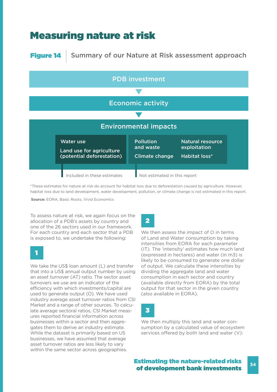### Measuring nature at risk

### Figure 14 | Summary of our Nature at Risk assessment approach



\*These estimates for nature at risk do account for habitat loss due to deforestation caused by agriculture. However, habitat loss due to land development, water development, pollution, or climate change is not estimated in this report.

**Source:** EORA, Basic Roots, Vivid Economics

To assess nature at risk, we again focus on the allocation of a PDB's assets by country and one of the 26 sectors used in our framework. For each country and each sector that a PDB is exposed to, we undertake the following:

### 1

We take the US\$ loan amount (L) and transfer that into a US\$ annual output number by using an asset turnover (AT) ratio. The sector asset turnovers we use are an indicator of the efficiency with which investments/capital are used to generate output (O). We have used industry average asset turnover ratios from CSI Market and a range of other sources. To calculate average sectoral ratios, CSI Market measures reported financial information across businesses within a sector and then aggregates them to derive an industry estimate. While the dataset is primarily based on US businesses, we have assumed that average asset turnover ratios are less likely to vary within the same sector across geographies.

### 2

We then assess the impact of O in terms of Land and Water consumption by taking intensities from EORA for each parameter (IT). The 'intensity' estimates how much land (expressed in hectares) and water (in m3) is likely to be consumed to generate one dollar of output. We calculate these intensities by dividing the aggregate land and water consumption in each sector and country (available directly from EORA) by the total output for that sector in the given country (also available in EORA).

### 3

We then multiply this land and water consumption by a calculated value of ecosystem services offered by both land and water (V):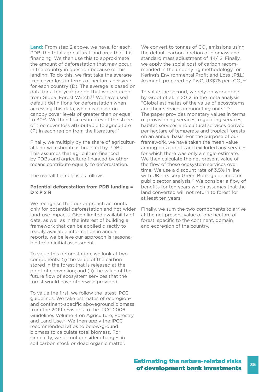**Land:** From step 2 above, we have, for each PDB, the total agricultural land area that it is financing. We then use this to approximate the amount of deforestation that may occur in the country in question because of this lending. To do this, we first take the average tree cover loss in terms of hectares per year for each country (D). The average is based on data for a ten-year period that was sourced from Global Forest Watch.<sup>36</sup> We have used default definitions for deforestation when accessing this data, which is based on canopy cover levels of greater than or equal to 30%. We then take estimates of the share of tree cover loss attributable to agriculture  $(P)$  in each region from the literature.<sup>37</sup>

Finally, we multiply by the share of agricultural land we estimate is financed by PDBs. This assumes that agriculture financed by PDBs and agriculture financed by other means contribute equally to deforestation.

The overall formula is as follows:

#### **Potential deforestation from PDB funding = D x P x R**

We recognise that our approach accounts only for potential deforestation and not wider land-use impacts. Given limited availability of data, as well as in the interest of building a framework that can be applied directly to readily available information in annual reports, we believe our approach is reasonable for an initial assessment.

To value this deforestation, we look at two components: (i) the value of the carbon stored in the forest that is released at the point of conversion; and (ii) the value of the future flow of ecosystem services that the forest would have otherwise provided.

To value the first, we follow the latest IPCC guidelines. We take estimates of ecoregionand continent-specific aboveground biomass from the 2019 revisions to the IPCC 2006 Guidelines Volume 4 on Agriculture, Forestry and Land Use.<sup>38</sup> We then apply the IPCC recommended ratios to below-ground biomass to calculate total biomass. For simplicity, we do not consider changes in soil carbon stock or dead organic matter.

We convert to tonnes of  $CO<sub>2</sub>$  emissions using the default carbon fraction of biomass and standard mass adjustment of 44/12. Finally, we apply the social cost of carbon recommended in the underlying methodology for Kering's Environmental Profit and Loss (P&L) Account, prepared by PwC, US\$78 per  $tCO_2$ .<sup>39</sup>

To value the second, we rely on work done by Groot et al. in 2012, in the meta analysis "Global estimates of the value of ecosystems and their services in monetary units".40 The paper provides monetary values in terms of provisioning services, regulating services, habitat services and cultural services derived per hectare of temperate and tropical forests on an annual basis. For the purpose of our framework, we have taken the mean value among data points and excluded any services for which there was only a single estimate. We then calculate the net present value of the flow of these ecosystem services over time. We use a discount rate of 3.5% in line with UK Treasury Green Book guidelines for public sector analysis.<sup>41</sup> We consider a flow of benefits for ten years which assumes that the land converted will not return to forest for at least ten years.

Finally, we sum the two components to arrive at the net present value of one hectare of forest, specific to the continent, domain and ecoregion of the country.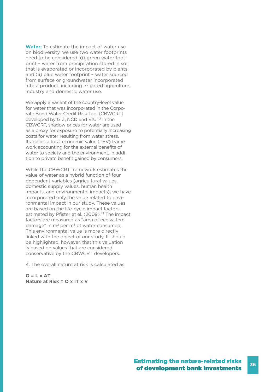**Water:** To estimate the impact of water use on biodiversity, we use two water footprints need to be considered: (i) green water footprint – water from precipitation stored in soil that is evaporated or incorporated by plants; and (ii) blue water footprint – water sourced from surface or groundwater incorporated into a product, including irrigated agriculture, industry and domestic water use.

We apply a variant of the country-level value for water that was incorporated in the Corporate Bond Water Credit Risk Tool (CBWCRT) developed by GIZ, NCD and VfU.42 In the CBWCRT, shadow prices for water are used as a proxy for exposure to potentially increasing costs for water resulting from water stress. It applies a total economic value (TEV) framework accounting for the external benefits of water to society and the environment, in addition to private benefit gained by consumers.

While the CBWCRT framework estimates the value of water as a hybrid function of four dependent variables (agricultural values, domestic supply values, human health impacts, and environmental impacts), we have incorporated only the value related to environmental impact in our study. These values are based on the life-cycle impact factors estimated by Pfister et el. (2009).<sup>43</sup> The impact factors are measured as "area of ecosystem damage" in  $m^2$  per  $m^3$  of water consumed. This environmental value is more directly linked with the object of our study. It should be highlighted, however, that this valuation is based on values that are considered conservative by the CBWCRT developers.

4. The overall nature at risk is calculated as:

**O = L x AT Nature at Risk = O x IT x V**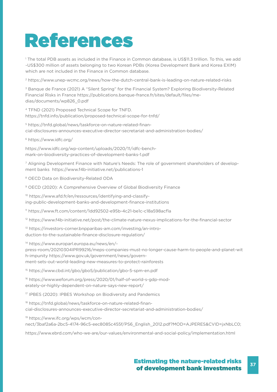# References

1 The total PDB assets as included in the Finance in Common database, is US\$11.3 trillion. To this, we add ~US\$300 million of assets belonging to two Korean PDBs (Korea Development Bank and Korea EXIM) which are not included in the Finance in Common database.

2 https://www.unep-wcmc.org/news/how-the-dutch-central-bank-is-leading-on-nature-related-risks

3 Banque de France (2021) A "Silent Spring" for the Financial System? Exploring Biodiversity-Related Financial Risks in France https://publications.banque-france.fr/sites/default/files/medias/documents/wp826\_0.pdf

4 TFND (2021) Proposed Technical Scope for TNFD. https://tnfd.info/publication/proposed-technical-scope-for-tnfd/

5 https://tnfd.global/news/taskforce-on-nature-related-financial-disclosures-announces-executive-director-secretariat-and-administration-bodies/

6 https://www.idfc.org/

https://www.idfc.org/wp-content/uploads/2020/11/idfc-benchmark-on-biodiversity-practices-of-development-banks-1.pdf

7 Aligning Development Finance with Nature's Needs: The role of government shareholders of development banks https://www.f4b-initiative.net/publications-1

8 OECD Data on Biodiversity-Related ODA

9 OECD (2020): A Comprehensive Overview of Global Biodiversity Finance

10 https://www.afd.fr/en/ressources/identifying-and-classifying-public-development-banks-and-development-finance-institutions

11 https://www.ft.com/content/1dd92502-e95b-4c21-be1c-c18a598acf1a

12 https://www.f4b-initiative.net/post/the-climate-nature-nexus-implications-for-the-financial-sector

13 https://investors-corner.bnpparibas-am.com/investing/an-introduction-to-the-sustainable-finance-disclosure-regulation/

14 https://www.europarl.europa.eu/news/en/-

press-room/20210304IPR99216/meps-companies-must-no-longer-cause-harm-to-people-and-planet-wit h-impunity https://www.gov.uk/government/news/government-sets-out-world-leading-new-measures-to-protect-rainforests

15 https://www.cbd.int/gbo/gbo5/publication/gbo-5-spm-en.pdf

16 https://www.weforum.org/press/2020/01/half-of-world-s-gdp-moderately-or-highly-dependent-on-nature-says-new-report/

17 IPBES (2020): IPBES Workshop on Biodiversity and Pandemics

18 https://tnfd.global/news/taskforce-on-nature-related-financial-disclosures-announces-executive-director-secretariat-and-administration-bodies/

19 https://www.ifc.org/wps/wcm/connect/3baf2a6a-2bc5-4174-96c5-eec8085c455f/PS6\_English\_2012.pdf?MOD=AJPERES&CVID=jxNbLC0;

https://www.ebrd.com/who-we-are/our-values/environmental-and-social-policy/implementation.html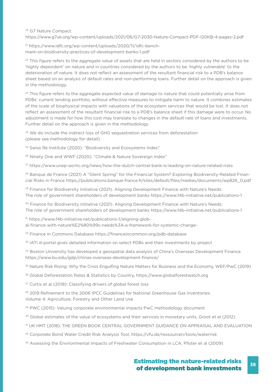#### 20 G7 Nature Compact. https://www.g7uk.org/wp-content/uploads/2021/06/G7-2030-Nature-Compact-PDF-120KB-4-pages-2.pdf

21 https://www.idfc.org/wp-content/uploads/2020/11/idfc-benchmark-on-biodiversity-practices-of-development-banks-1.pdf

 $22$  This figure refers to the aggregate value of assets that are held in sectors considered by the authors to be 'highly dependent' on nature and in countries considered by the authors to be 'highly vulnerable' to the deterioration of nature. It does not reflect an assessment of the resultant financial risk to a PDB's balance sheet based on an analysis of default rates and non-performing loans. Further detail on the approach is given in the methodology.

<sup>23</sup> This figure refers to the aggregate expected value of damage to nature that could potentially arise from PDBs' current lending portfolio, without effective measures to mitigate harm to nature. It combines estimates of the scale of biophysical impacts with valuations of the ecosystem services that would be lost. It does not reflect an assessment of the resultant financial risk to a PDB's balance sheet if this damage were to occur. No adjustment is made for how this cost may translate to changes in the default rate of loans and investments. Further detail on the approach is given in the methodology.

<sup>24</sup> We do include the indirect loss of GHG sequestration services from deforestation (please see methodology for detail).

<sup>25</sup> Swiss Re Institute (2020): "Biodiversity and Ecosystems Index"

<sup>26</sup> Ninety One and WWF (2020): "Climate & Nature Sovereign Index"

27 https://www.unep-wcmc.org/news/how-the-dutch-central-bank-is-leading-on-nature-related-risks

<sup>28</sup> Banque de France (2021) A "Silent Spring" for the Financial System? Exploring Biodiversity-Related Financial Risks in France https://publications.banque-france.fr/sites/default/files/medias/documents/wp826\_0.pdf

<sup>29</sup> Finance for Biodiversity Initiative (2021). Aligning Development Finance with Nature's Needs: The role of government shareholders of development banks https://www.f4b-initiative.net/publications-1

<sup>30</sup> Finance for Biodiversity Initiative (2021). Aligning Development Finance with Nature's Needs: The role of government shareholders of development banks https://www.f4b-initiative.net/publications-1

31 https://www.f4b-initiative.net/publications-1/aligning-global-finance-with-nature%E2%80%99s-needs%3A-a-framework-for-systemic-change-

32 Finance in Commons Database https://financeincommon.org/pdb-database

<sup>33</sup> IATI d-portal gives detailed information on select PDBs and their investments by project

34 Boston University has developed a geospatial data analysis of China's Overseas Development Finance https://www.bu.edu/gdp/chinas-overseas-development-finance/

35 Nature Risk Rising: Why the Crisis Engulfing Nature Matters for Business and the Economy, WEF/PwC (2019)

36 Global Deforestation Rates & Statistics by Country, https://www.globalforestwatch.org

<sup>37</sup> Curtis et al (2018): Classifying drivers of global forest loss

38 2019 Refinement to the 2006 IPCC Guidelines for National Greenhouse Gas Inventories: Volume 4: Agriculture, Forestry and Other Land Use

<sup>39</sup> PWC (2015): Valuing corporate environmental impacts PwC methodology document

40 Global estimates of the value of ecosystems and their services in monetary units, Groot et al (2012)

41 UK HMT (2018): THE GREEN BOOK CENTRAL GOVERNMENT GUIDANCE ON APPRAISAL AND EVALUATION

- 42 Corporate Bond Water Credit Risk Analysis Tool, https://vfu.de/ressourcen/tools/waterrisk
- 43 Assessing the Environmental Impacts of Freshwater Consumption in LCA, Pfister et al (2009)